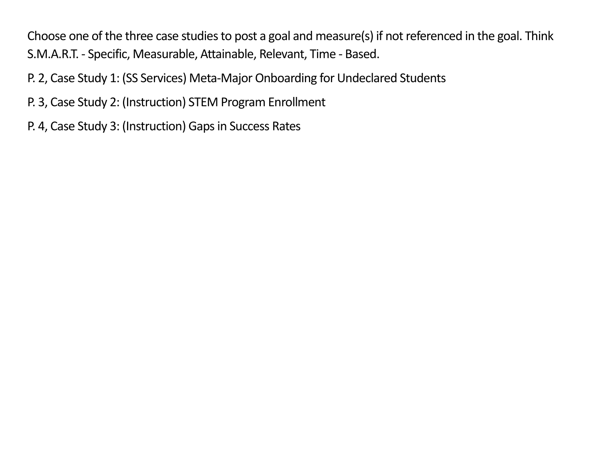Choose one of the three case studies to post a goal and measure(s) if not referenced in the goal. Think S.M.A.R.T. - Specific, Measurable, Attainable, Relevant, Time - Based.

- P. 2, Case Study 1: (SS Services) Meta-Major Onboarding for Undeclared Students
- P. 3, Case Study 2: (Instruction) STEM Program Enrollment
- P. 4, Case Study 3: (Instruction) Gaps in Success Rates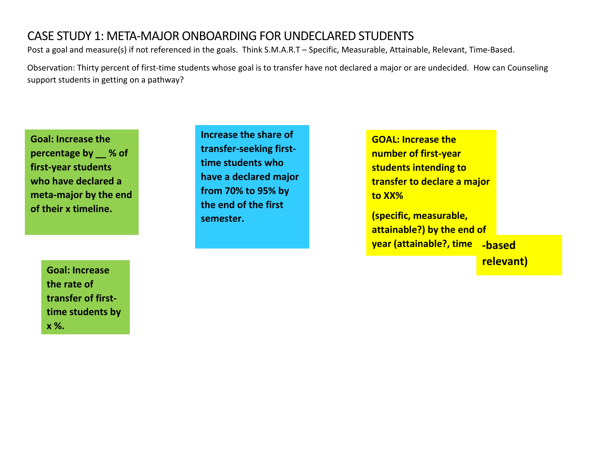## CASE STUDY 1: META-MAJOR ONBOARDING FOR UNDECLARED STUDENTS

Post a goal and measure(s) if not referenced in the goals. Think S.M.A.R.T – Specific, Measurable, Attainable, Relevant, Time-Based.

Observation: Thirty percent of first-time students whose goal is to transfer have not declared a major or are undecided. How can Counseling support students in getting on a pathway?

**Goal: Increase the percentage by \_\_ % of first-year students who have declared a meta-major by the end of their x timeline.**

**Increase the share of transfer-seeking firsttime students who have a declared major from 70% to 95% by the end of the first semester.**

**GOAL: Increase the number of first-year students intending to transfer to declare a major to XX%**

**(specific, measurable, attainable?) by the end of year (attainable?, time -based** 

**relevant)**

**Goal: Increase the rate of transfer of firsttime students by x %.**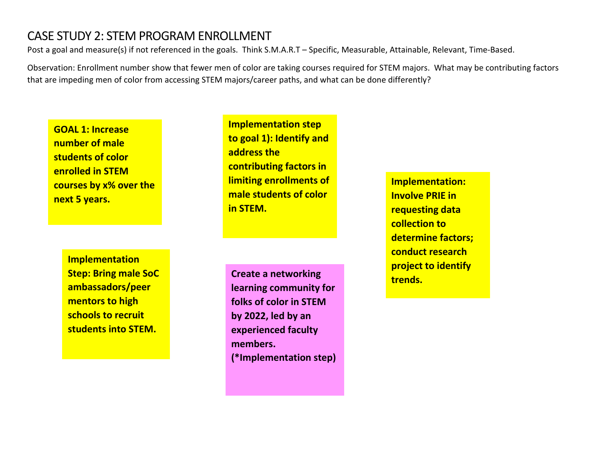## CASE STUDY 2: STEM PROGRAM ENROLLMENT

Post a goal and measure(s) if not referenced in the goals. Think S.M.A.R.T – Specific, Measurable, Attainable, Relevant, Time-Based.

Observation: Enrollment number show that fewer men of color are taking courses required for STEM majors. What may be contributing factors that are impeding men of color from accessing STEM majors/career paths, and what can be done differently?

**GOAL 1: Increase number of male students of color enrolled in STEM courses by x% over the next 5 years.**

> **Implementation Step: Bring male SoC ambassadors/peer mentors to high schools to recruit students into STEM.**

**Implementation step to goal 1): Identify and address the contributing factors in limiting enrollments of male students of color in STEM.**

**trends. Create a networking learning community for folks of color in STEM by 2022, led by an experienced faculty members. (\*Implementation step)**

**Implementation: Involve PRIE in requesting data collection to determine factors; conduct research project to identify**